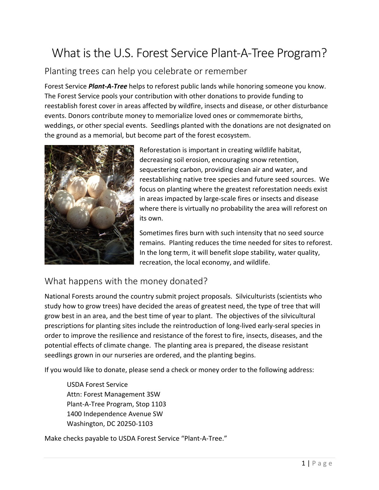## What is the U.S. Forest Service Plant-A-Tree Program?

## Planting trees can help you celebrate or remember

Forest Service *Plant-A-Tree* helps to reforest public lands while honoring someone you know. The Forest Service pools your contribution with other donations to provide funding to reestablish forest cover in areas affected by wildfire, insects and disease, or other disturbance events. Donors contribute money to memorialize loved ones or commemorate births, weddings, or other special events. Seedlings planted with the donations are not designated on the ground as a memorial, but become part of the forest ecosystem.



Reforestation is important in creating wildlife habitat, decreasing soil erosion, encouraging snow retention, sequestering carbon, providing clean air and water, and reestablishing native tree species and future seed sources. We focus on planting where the greatest reforestation needs exist in areas impacted by large-scale fires or insects and disease where there is virtually no probability the area will reforest on its own.

Sometimes fires burn with such intensity that no seed source remains. Planting reduces the time needed for sites to reforest. In the long term, it will benefit slope stability, water quality, recreation, the local economy, and wildlife.

## What happens with the money donated?

National Forests around the country submit project proposals. Silviculturists (scientists who study how to grow trees) have decided the areas of greatest need, the type of tree that will grow best in an area, and the best time of year to plant. The objectives of the silvicultural prescriptions for planting sites include the reintroduction of long-lived early-seral species in order to improve the resilience and resistance of the forest to fire, insects, diseases, and the potential effects of climate change. The planting area is prepared, the disease resistant seedlings grown in our nurseries are ordered, and the planting begins.

If you would like to donate, please send a check or money order to the following address:

USDA Forest Service Attn: Forest Management 3SW Plant-A-Tree Program, Stop 1103 1400 Independence Avenue SW Washington, DC 20250-1103

Make checks payable to USDA Forest Service "Plant-A-Tree."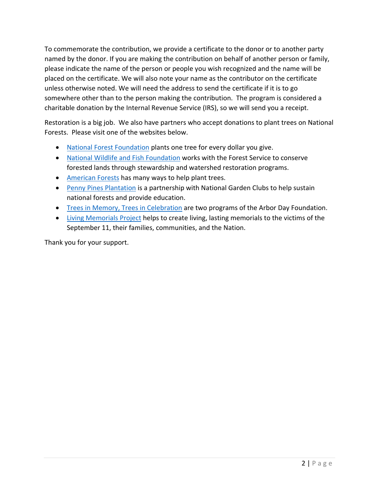To commemorate the contribution, we provide a certificate to the donor or to another party named by the donor. If you are making the contribution on behalf of another person or family, please indicate the name of the person or people you wish recognized and the name will be placed on the certificate. We will also note your name as the contributor on the certificate unless otherwise noted. We will need the address to send the certificate if it is to go somewhere other than to the person making the contribution. The program is considered a charitable donation by the Internal Revenue Service (IRS), so we will send you a receipt.

Restoration is a big job. We also have partners who accept donations to plant trees on National Forests. Please visit one of the websites below.

- [National Forest Foundation](https://www.nationalforests.org/) plants one tree for every dollar you give.
- [National Wildlife and Fish Foundation](http://www.nfwf.org/Pages/default.aspx) works with the Forest Service to conserve forested lands through stewardship and watershed restoration programs.
- [American](http://www.americanforests.org/) Forests has many ways to help plant trees.
- [Penny Pines Plantation](http://www.gardenclub.org/) is a partnership with National Garden Clubs to help sustain national forests and provide education.
- [Trees in Memory, Trees in Celebration](http://www.arborday.org/) are two programs of the Arbor Day Foundation.
- [Living Memorials Project](http://www.livingmemorialsproject.net/) helps to create living, lasting memorials to the victims of the September 11, their families, communities, and the Nation.

Thank you for your support.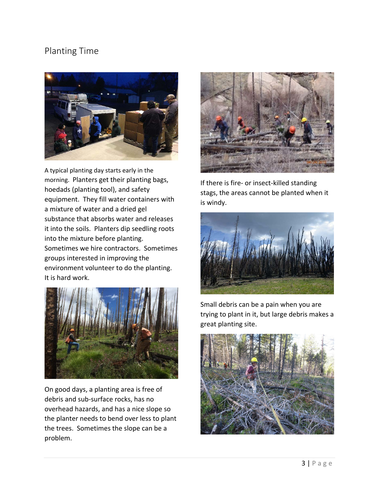## Planting Time



A typical planting day starts early in the morning. Planters get their planting bags, hoedads (planting tool), and safety equipment. They fill water containers with a mixture of water and a dried gel substance that absorbs water and releases it into the soils. Planters dip seedling roots into the mixture before planting. Sometimes we hire contractors. Sometimes groups interested in improving the environment volunteer to do the planting. It is hard work.



On good days, a planting area is free of debris and sub-surface rocks, has no overhead hazards, and has a nice slope so the planter needs to bend over less to plant the trees. Sometimes the slope can be a problem.



If there is fire- or insect-killed standing stags, the areas cannot be planted when it is windy.



Small debris can be a pain when you are trying to plant in it, but large debris makes a great planting site.